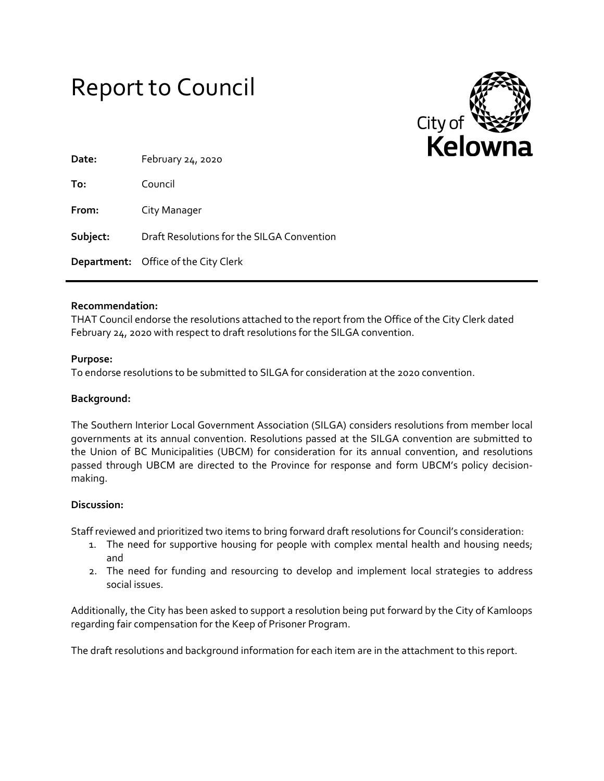



| Date:    | February 24, 2020                           |
|----------|---------------------------------------------|
| To:      | Council                                     |
| From:    | City Manager                                |
| Subject: | Draft Resolutions for the SILGA Convention  |
|          | <b>Department:</b> Office of the City Clerk |

### **Recommendation:**

THAT Council endorse the resolutions attached to the report from the Office of the City Clerk dated February 24, 2020 with respect to draft resolutions for the SILGA convention.

### **Purpose:**

To endorse resolutions to be submitted to SILGA for consideration at the 2020 convention.

### **Background:**

The Southern Interior Local Government Association (SILGA) considers resolutions from member local governments at its annual convention. Resolutions passed at the SILGA convention are submitted to the Union of BC Municipalities (UBCM) for consideration for its annual convention, and resolutions passed through UBCM are directed to the Province for response and form UBCM's policy decisionmaking.

# **Discussion:**

Staff reviewed and prioritized two items to bring forward draft resolutions for Council's consideration:

- 1. The need for supportive housing for people with complex mental health and housing needs; and
- 2. The need for funding and resourcing to develop and implement local strategies to address social issues.

Additionally, the City has been asked to support a resolution being put forward by the City of Kamloops regarding fair compensation for the Keep of Prisoner Program.

The draft resolutions and background information for each item are in the attachment to this report.